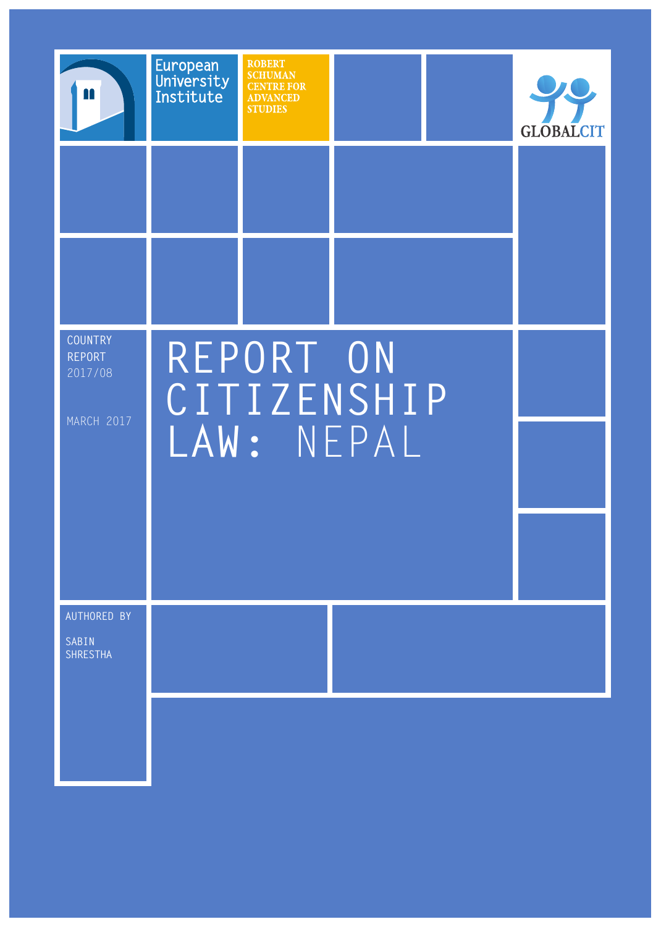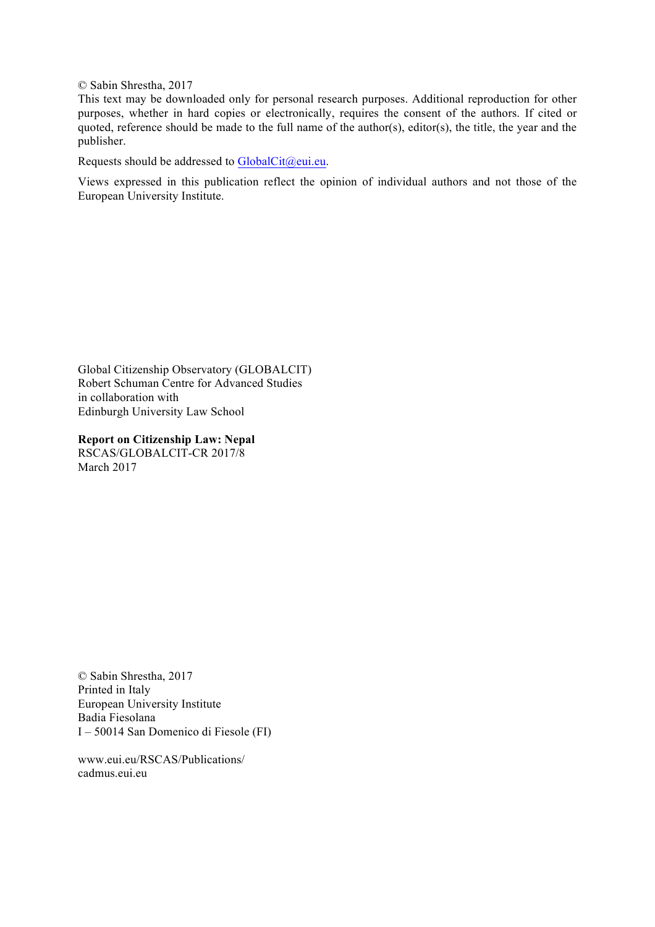© Sabin Shrestha, 2017

This text may be downloaded only for personal research purposes. Additional reproduction for other purposes, whether in hard copies or electronically, requires the consent of the authors. If cited or quoted, reference should be made to the full name of the author(s), editor(s), the title, the year and the publisher.

Requests should be addressed to GlobalCit@eui.eu.

Views expressed in this publication reflect the opinion of individual authors and not those of the European University Institute.

Global Citizenship Observatory (GLOBALCIT) Robert Schuman Centre for Advanced Studies in collaboration with Edinburgh University Law School

**Report on Citizenship Law: Nepal** RSCAS/GLOBALCIT-CR 2017/8 March 2017

© Sabin Shrestha, 2017 Printed in Italy European University Institute Badia Fiesolana I – 50014 San Domenico di Fiesole (FI)

www.eui.eu/RSCAS/Publications/ cadmus.eui.eu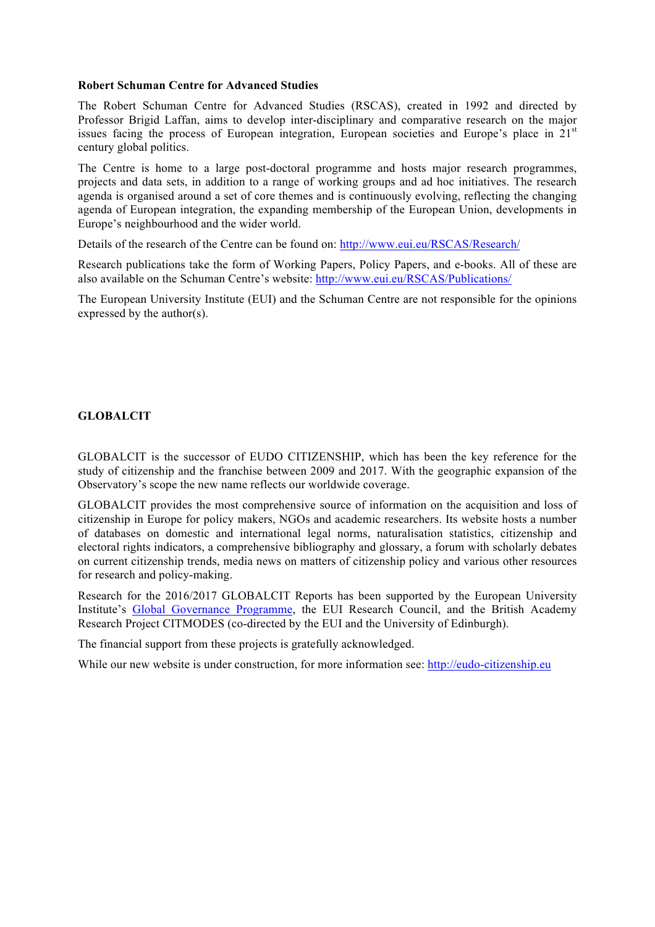#### **Robert Schuman Centre for Advanced Studies**

The Robert Schuman Centre for Advanced Studies (RSCAS), created in 1992 and directed by Professor Brigid Laffan, aims to develop inter-disciplinary and comparative research on the major issues facing the process of European integration, European societies and Europe's place in 21<sup>st</sup> century global politics.

The Centre is home to a large post-doctoral programme and hosts major research programmes, projects and data sets, in addition to a range of working groups and ad hoc initiatives. The research agenda is organised around a set of core themes and is continuously evolving, reflecting the changing agenda of European integration, the expanding membership of the European Union, developments in Europe's neighbourhood and the wider world.

Details of the research of the Centre can be found on: http://www.eui.eu/RSCAS/Research/

Research publications take the form of Working Papers, Policy Papers, and e-books. All of these are also available on the Schuman Centre's website: http://www.eui.eu/RSCAS/Publications/

The European University Institute (EUI) and the Schuman Centre are not responsible for the opinions expressed by the author(s).

#### **GLOBALCIT**

GLOBALCIT is the successor of EUDO CITIZENSHIP, which has been the key reference for the study of citizenship and the franchise between 2009 and 2017. With the geographic expansion of the Observatory's scope the new name reflects our worldwide coverage.

GLOBALCIT provides the most comprehensive source of information on the acquisition and loss of citizenship in Europe for policy makers, NGOs and academic researchers. Its website hosts a number of databases on domestic and international legal norms, naturalisation statistics, citizenship and electoral rights indicators, a comprehensive bibliography and glossary, a forum with scholarly debates on current citizenship trends, media news on matters of citizenship policy and various other resources for research and policy-making.

Research for the 2016/2017 GLOBALCIT Reports has been supported by the European University Institute's Global Governance Programme, the EUI Research Council, and the British Academy Research Project CITMODES (co-directed by the EUI and the University of Edinburgh).

The financial support from these projects is gratefully acknowledged.

While our new website is under construction, for more information see: http://eudo-citizenship.eu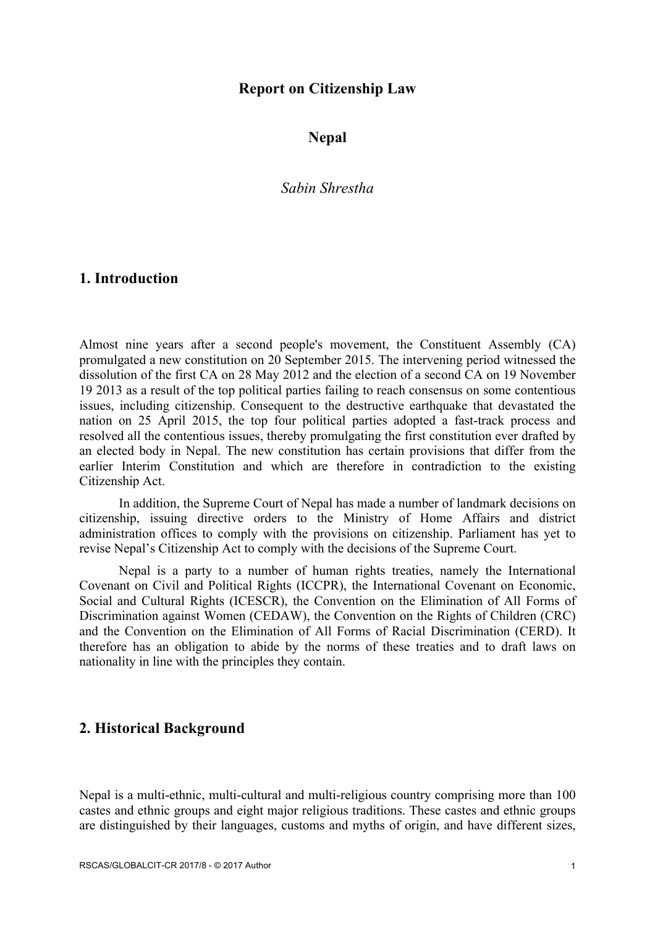## **Report on Citizenship Law**

**Nepal**

*Sabin Shrestha*

## **1. Introduction**

Almost nine years after a second people's movement, the Constituent Assembly (CA) promulgated a new constitution on 20 September 2015. The intervening period witnessed the dissolution of the first CA on 28 May 2012 and the election of a second CA on 19 November 19 2013 as a result of the top political parties failing to reach consensus on some contentious issues, including citizenship. Consequent to the destructive earthquake that devastated the nation on 25 April 2015, the top four political parties adopted a fast-track process and resolved all the contentious issues, thereby promulgating the first constitution ever drafted by an elected body in Nepal. The new constitution has certain provisions that differ from the earlier Interim Constitution and which are therefore in contradiction to the existing Citizenship Act.

In addition, the Supreme Court of Nepal has made a number of landmark decisions on citizenship, issuing directive orders to the Ministry of Home Affairs and district administration offices to comply with the provisions on citizenship. Parliament has yet to revise Nepal's Citizenship Act to comply with the decisions of the Supreme Court.

Nepal is a party to a number of human rights treaties, namely the International Covenant on Civil and Political Rights (ICCPR), the International Covenant on Economic, Social and Cultural Rights (ICESCR), the Convention on the Elimination of All Forms of Discrimination against Women (CEDAW), the Convention on the Rights of Children (CRC) and the Convention on the Elimination of All Forms of Racial Discrimination (CERD). It therefore has an obligation to abide by the norms of these treaties and to draft laws on nationality in line with the principles they contain.

## **2. Historical Background**

Nepal is a multi-ethnic, multi-cultural and multi-religious country comprising more than 100 castes and ethnic groups and eight major religious traditions. These castes and ethnic groups are distinguished by their languages, customs and myths of origin, and have different sizes,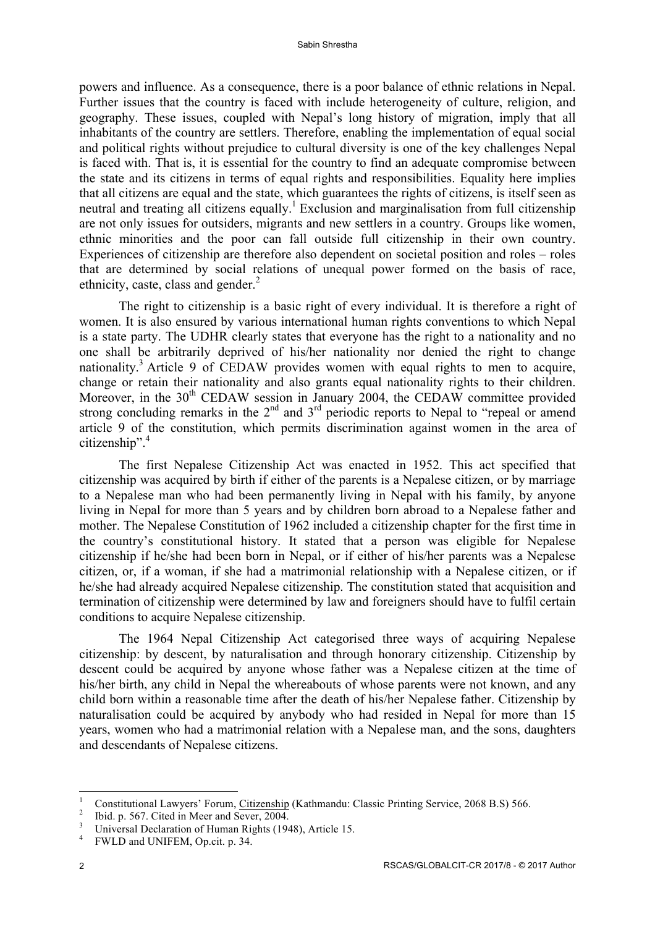powers and influence. As a consequence, there is a poor balance of ethnic relations in Nepal. Further issues that the country is faced with include heterogeneity of culture, religion, and geography. These issues, coupled with Nepal's long history of migration, imply that all inhabitants of the country are settlers. Therefore, enabling the implementation of equal social and political rights without prejudice to cultural diversity is one of the key challenges Nepal is faced with. That is, it is essential for the country to find an adequate compromise between the state and its citizens in terms of equal rights and responsibilities. Equality here implies that all citizens are equal and the state, which guarantees the rights of citizens, is itself seen as neutral and treating all citizens equally.<sup>1</sup> Exclusion and marginalisation from full citizenship are not only issues for outsiders, migrants and new settlers in a country. Groups like women, ethnic minorities and the poor can fall outside full citizenship in their own country. Experiences of citizenship are therefore also dependent on societal position and roles – roles that are determined by social relations of unequal power formed on the basis of race, ethnicity, caste, class and gender. $^{2}$ 

The right to citizenship is a basic right of every individual. It is therefore a right of women. It is also ensured by various international human rights conventions to which Nepal is a state party. The UDHR clearly states that everyone has the right to a nationality and no one shall be arbitrarily deprived of his/her nationality nor denied the right to change nationality.<sup>3</sup> Article 9 of CEDAW provides women with equal rights to men to acquire, change or retain their nationality and also grants equal nationality rights to their children. Moreover, in the  $30<sup>th</sup>$  CEDAW session in January 2004, the CEDAW committee provided strong concluding remarks in the  $2<sup>nd</sup>$  and  $3<sup>rd</sup>$  periodic reports to Nepal to "repeal or amend article 9 of the constitution, which permits discrimination against women in the area of citizenship". 4

The first Nepalese Citizenship Act was enacted in 1952. This act specified that citizenship was acquired by birth if either of the parents is a Nepalese citizen, or by marriage to a Nepalese man who had been permanently living in Nepal with his family, by anyone living in Nepal for more than 5 years and by children born abroad to a Nepalese father and mother. The Nepalese Constitution of 1962 included a citizenship chapter for the first time in the country's constitutional history. It stated that a person was eligible for Nepalese citizenship if he/she had been born in Nepal, or if either of his/her parents was a Nepalese citizen, or, if a woman, if she had a matrimonial relationship with a Nepalese citizen, or if he/she had already acquired Nepalese citizenship. The constitution stated that acquisition and termination of citizenship were determined by law and foreigners should have to fulfil certain conditions to acquire Nepalese citizenship.

The 1964 Nepal Citizenship Act categorised three ways of acquiring Nepalese citizenship: by descent, by naturalisation and through honorary citizenship. Citizenship by descent could be acquired by anyone whose father was a Nepalese citizen at the time of his/her birth, any child in Nepal the whereabouts of whose parents were not known, and any child born within a reasonable time after the death of his/her Nepalese father. Citizenship by naturalisation could be acquired by anybody who had resided in Nepal for more than 15 years, women who had a matrimonial relation with a Nepalese man, and the sons, daughters and descendants of Nepalese citizens.

<sup>&</sup>lt;sup>1</sup><br>Constitutional Lawyers' Forum, Citizenship (Kathmandu: Classic Printing Service, 2068 B.S) 566.<br><sup>2</sup><br>Universal Declaration of Human Rights (1948), Article 15.<br><sup>4</sup> FWLD and UNIFEM, Op.cit. p. 34.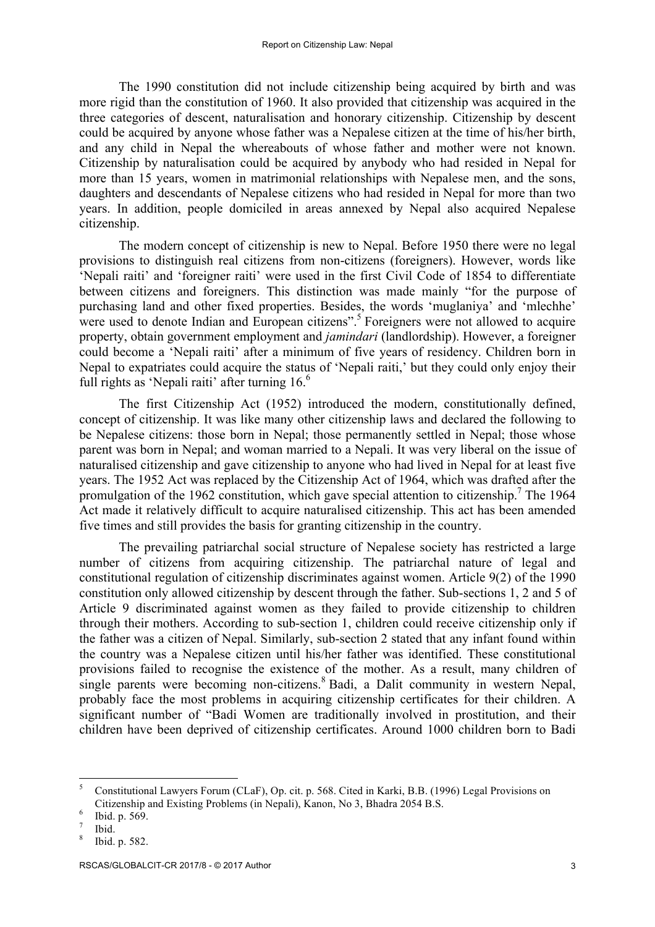The 1990 constitution did not include citizenship being acquired by birth and was more rigid than the constitution of 1960. It also provided that citizenship was acquired in the three categories of descent, naturalisation and honorary citizenship. Citizenship by descent could be acquired by anyone whose father was a Nepalese citizen at the time of his/her birth, and any child in Nepal the whereabouts of whose father and mother were not known. Citizenship by naturalisation could be acquired by anybody who had resided in Nepal for more than 15 years, women in matrimonial relationships with Nepalese men, and the sons, daughters and descendants of Nepalese citizens who had resided in Nepal for more than two years. In addition, people domiciled in areas annexed by Nepal also acquired Nepalese citizenship.

The modern concept of citizenship is new to Nepal. Before 1950 there were no legal provisions to distinguish real citizens from non-citizens (foreigners). However, words like 'Nepali raiti' and 'foreigner raiti' were used in the first Civil Code of 1854 to differentiate between citizens and foreigners. This distinction was made mainly "for the purpose of purchasing land and other fixed properties. Besides, the words 'muglaniya' and 'mlechhe' were used to denote Indian and European citizens". <sup>5</sup> Foreigners were not allowed to acquire property, obtain government employment and *jamindari* (landlordship). However, a foreigner could become a 'Nepali raiti' after a minimum of five years of residency. Children born in Nepal to expatriates could acquire the status of 'Nepali raiti,' but they could only enjoy their full rights as 'Nepali raiti' after turning  $16<sup>6</sup>$ 

The first Citizenship Act (1952) introduced the modern, constitutionally defined, concept of citizenship. It was like many other citizenship laws and declared the following to be Nepalese citizens: those born in Nepal; those permanently settled in Nepal; those whose parent was born in Nepal; and woman married to a Nepali. It was very liberal on the issue of naturalised citizenship and gave citizenship to anyone who had lived in Nepal for at least five years. The 1952 Act was replaced by the Citizenship Act of 1964, which was drafted after the promulgation of the 1962 constitution, which gave special attention to citizenship.<sup>7</sup> The 1964 Act made it relatively difficult to acquire naturalised citizenship. This act has been amended five times and still provides the basis for granting citizenship in the country.

The prevailing patriarchal social structure of Nepalese society has restricted a large number of citizens from acquiring citizenship. The patriarchal nature of legal and constitutional regulation of citizenship discriminates against women. Article 9(2) of the 1990 constitution only allowed citizenship by descent through the father. Sub-sections 1, 2 and 5 of Article 9 discriminated against women as they failed to provide citizenship to children through their mothers. According to sub-section 1, children could receive citizenship only if the father was a citizen of Nepal. Similarly, sub-section 2 stated that any infant found within the country was a Nepalese citizen until his/her father was identified. These constitutional provisions failed to recognise the existence of the mother. As a result, many children of single parents were becoming non-citizens.<sup>8</sup> Badi, a Dalit community in western Nepal, probably face the most problems in acquiring citizenship certificates for their children. A significant number of "Badi Women are traditionally involved in prostitution, and their children have been deprived of citizenship certificates. Around 1000 children born to Badi

<sup>5</sup> Constitutional Lawyers Forum (CLaF), Op. cit. p. 568. Cited in Karki, B.B. (1996) Legal Provisions on Citizenship and Existing Problems (in Nepali), Kanon, No 3, Bhadra 2054 B.S.<br>
<sup>6</sup> Ibid. p. 569.<br>
<sup>8</sup> Ibid. p. 582.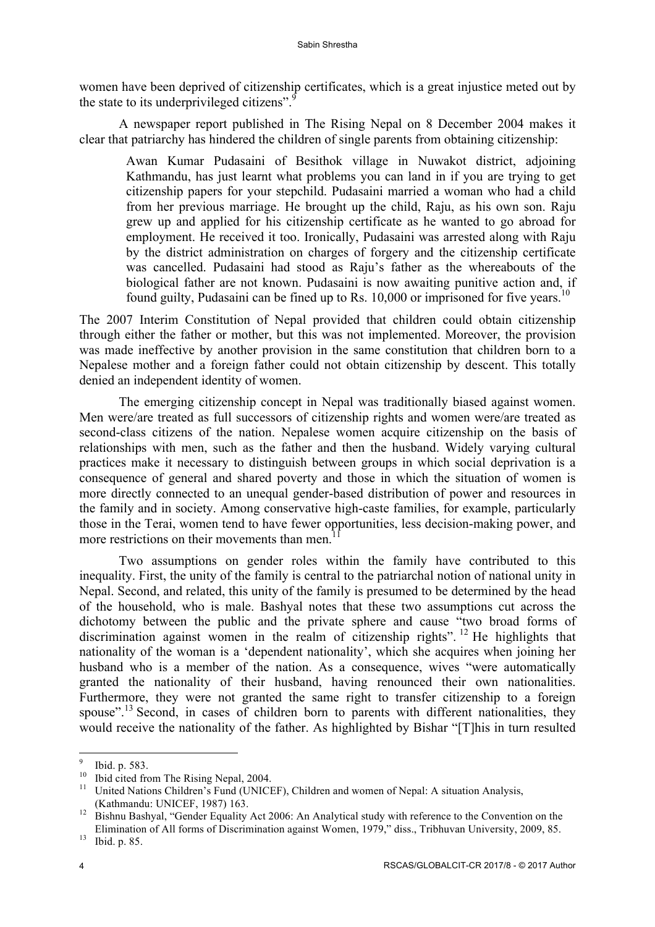women have been deprived of citizenship certificates, which is a great injustice meted out by the state to its underprivileged citizens".<sup>9</sup>

A newspaper report published in The Rising Nepal on 8 December 2004 makes it clear that patriarchy has hindered the children of single parents from obtaining citizenship:

Awan Kumar Pudasaini of Besithok village in Nuwakot district, adjoining Kathmandu, has just learnt what problems you can land in if you are trying to get citizenship papers for your stepchild. Pudasaini married a woman who had a child from her previous marriage. He brought up the child, Raju, as his own son. Raju grew up and applied for his citizenship certificate as he wanted to go abroad for employment. He received it too. Ironically, Pudasaini was arrested along with Raju by the district administration on charges of forgery and the citizenship certificate was cancelled. Pudasaini had stood as Raju's father as the whereabouts of the biological father are not known. Pudasaini is now awaiting punitive action and, if found guilty, Pudasaini can be fined up to Rs.  $10,000$  or imprisoned for five years.<sup>10</sup>

The 2007 Interim Constitution of Nepal provided that children could obtain citizenship through either the father or mother, but this was not implemented. Moreover, the provision was made ineffective by another provision in the same constitution that children born to a Nepalese mother and a foreign father could not obtain citizenship by descent. This totally denied an independent identity of women.

The emerging citizenship concept in Nepal was traditionally biased against women. Men were/are treated as full successors of citizenship rights and women were/are treated as second-class citizens of the nation. Nepalese women acquire citizenship on the basis of relationships with men, such as the father and then the husband. Widely varying cultural practices make it necessary to distinguish between groups in which social deprivation is a consequence of general and shared poverty and those in which the situation of women is more directly connected to an unequal gender-based distribution of power and resources in the family and in society. Among conservative high-caste families, for example, particularly those in the Terai, women tend to have fewer opportunities, less decision-making power, and more restrictions on their movements than men.

Two assumptions on gender roles within the family have contributed to this inequality. First, the unity of the family is central to the patriarchal notion of national unity in Nepal. Second, and related, this unity of the family is presumed to be determined by the head of the household, who is male. Bashyal notes that these two assumptions cut across the dichotomy between the public and the private sphere and cause "two broad forms of discrimination against women in the realm of citizenship rights". <sup>12</sup> He highlights that nationality of the woman is a 'dependent nationality', which she acquires when joining her husband who is a member of the nation. As a consequence, wives "were automatically granted the nationality of their husband, having renounced their own nationalities. Furthermore, they were not granted the same right to transfer citizenship to a foreign spouse".<sup>13</sup> Second, in cases of children born to parents with different nationalities, they would receive the nationality of the father. As highlighted by Bishar "[T]his in turn resulted

<sup>&</sup>lt;sup>9</sup> Ibid. p. 583.<br><sup>10</sup> Ibid cited from The Rising Nepal, 2004.<br><sup>11</sup> United Nations Children's Fund (UNICEF), Children and women of Nepal: A situation Analysis, (Kathmandu: UNICEF, 1987) 163.<br><sup>12</sup> Bishnu Bashyal, "Gender Equality Act 2006: An Analytical study with reference to the Convention on the

Elimination of All forms of Discrimination against Women, 1979," diss., Tribhuvan University, 2009, 85. Ibid. p. 85.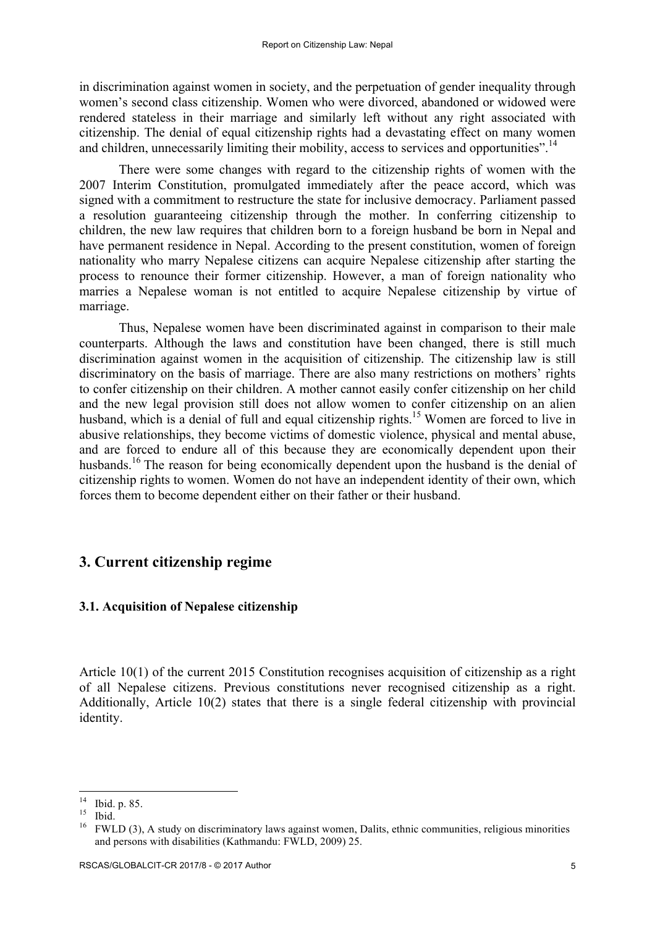in discrimination against women in society, and the perpetuation of gender inequality through women's second class citizenship. Women who were divorced, abandoned or widowed were rendered stateless in their marriage and similarly left without any right associated with citizenship. The denial of equal citizenship rights had a devastating effect on many women and children, unnecessarily limiting their mobility, access to services and opportunities".<sup>14</sup>

There were some changes with regard to the citizenship rights of women with the 2007 Interim Constitution, promulgated immediately after the peace accord, which was signed with a commitment to restructure the state for inclusive democracy. Parliament passed a resolution guaranteeing citizenship through the mother. In conferring citizenship to children, the new law requires that children born to a foreign husband be born in Nepal and have permanent residence in Nepal. According to the present constitution, women of foreign nationality who marry Nepalese citizens can acquire Nepalese citizenship after starting the process to renounce their former citizenship. However, a man of foreign nationality who marries a Nepalese woman is not entitled to acquire Nepalese citizenship by virtue of marriage.

Thus, Nepalese women have been discriminated against in comparison to their male counterparts. Although the laws and constitution have been changed, there is still much discrimination against women in the acquisition of citizenship. The citizenship law is still discriminatory on the basis of marriage. There are also many restrictions on mothers' rights to confer citizenship on their children. A mother cannot easily confer citizenship on her child and the new legal provision still does not allow women to confer citizenship on an alien husband, which is a denial of full and equal citizenship rights.<sup>15</sup> Women are forced to live in abusive relationships, they become victims of domestic violence, physical and mental abuse, and are forced to endure all of this because they are economically dependent upon their husbands.<sup>16</sup> The reason for being economically dependent upon the husband is the denial of citizenship rights to women. Women do not have an independent identity of their own, which forces them to become dependent either on their father or their husband.

## **3. Current citizenship regime**

#### **3.1. Acquisition of Nepalese citizenship**

Article 10(1) of the current 2015 Constitution recognises acquisition of citizenship as a right of all Nepalese citizens. Previous constitutions never recognised citizenship as a right. Additionally, Article 10(2) states that there is a single federal citizenship with provincial identity.

<sup>&</sup>lt;sup>14</sup> Ibid. p. 85.<br><sup>15</sup> Ibid. <sup>15</sup> FWLD (3), A study on discriminatory laws against women, Dalits, ethnic communities, religious minorities and persons with disabilities (Kathmandu: FWLD, 2009) 25.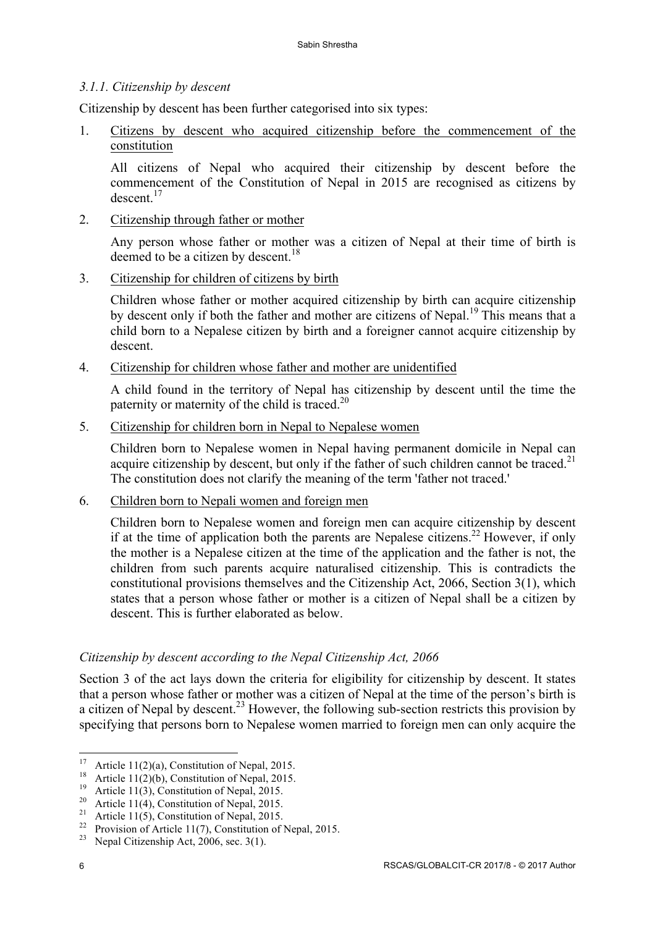## *3.1.1. Citizenship by descent*

Citizenship by descent has been further categorised into six types:

1. Citizens by descent who acquired citizenship before the commencement of the constitution

All citizens of Nepal who acquired their citizenship by descent before the commencement of the Constitution of Nepal in 2015 are recognised as citizens by  $descent<sup>17</sup>$ 

2. Citizenship through father or mother

Any person whose father or mother was a citizen of Nepal at their time of birth is deemed to be a citizen by descent.<sup>18</sup>

3. Citizenship for children of citizens by birth

Children whose father or mother acquired citizenship by birth can acquire citizenship by descent only if both the father and mother are citizens of Nepal.<sup>19</sup> This means that a child born to a Nepalese citizen by birth and a foreigner cannot acquire citizenship by descent.

4. Citizenship for children whose father and mother are unidentified

A child found in the territory of Nepal has citizenship by descent until the time the paternity or maternity of the child is traced.<sup>20</sup>

5. Citizenship for children born in Nepal to Nepalese women

Children born to Nepalese women in Nepal having permanent domicile in Nepal can acquire citizenship by descent, but only if the father of such children cannot be traced.<sup>21</sup> The constitution does not clarify the meaning of the term 'father not traced.'

6. Children born to Nepali women and foreign men

Children born to Nepalese women and foreign men can acquire citizenship by descent if at the time of application both the parents are Nepalese citizens.<sup>22</sup> However, if only the mother is a Nepalese citizen at the time of the application and the father is not, the children from such parents acquire naturalised citizenship. This is contradicts the constitutional provisions themselves and the Citizenship Act, 2066, Section 3(1), which states that a person whose father or mother is a citizen of Nepal shall be a citizen by descent. This is further elaborated as below.

## *Citizenship by descent according to the Nepal Citizenship Act, 2066*

Section 3 of the act lays down the criteria for eligibility for citizenship by descent. It states that a person whose father or mother was a citizen of Nepal at the time of the person's birth is a citizen of Nepal by descent.<sup>23</sup> However, the following sub-section restricts this provision by specifying that persons born to Nepalese women married to foreign men can only acquire the

<sup>&</sup>lt;sup>17</sup> Article 11(2)(a), Constitution of Nepal, 2015.<br>
<sup>18</sup> Article 11(2)(b), Constitution of Nepal, 2015.<br>
<sup>19</sup> Article 11(3), Constitution of Nepal, 2015.<br>
<sup>20</sup> Article 11(4), Constitution of Nepal, 2015.<br>
<sup>21</sup> Article 11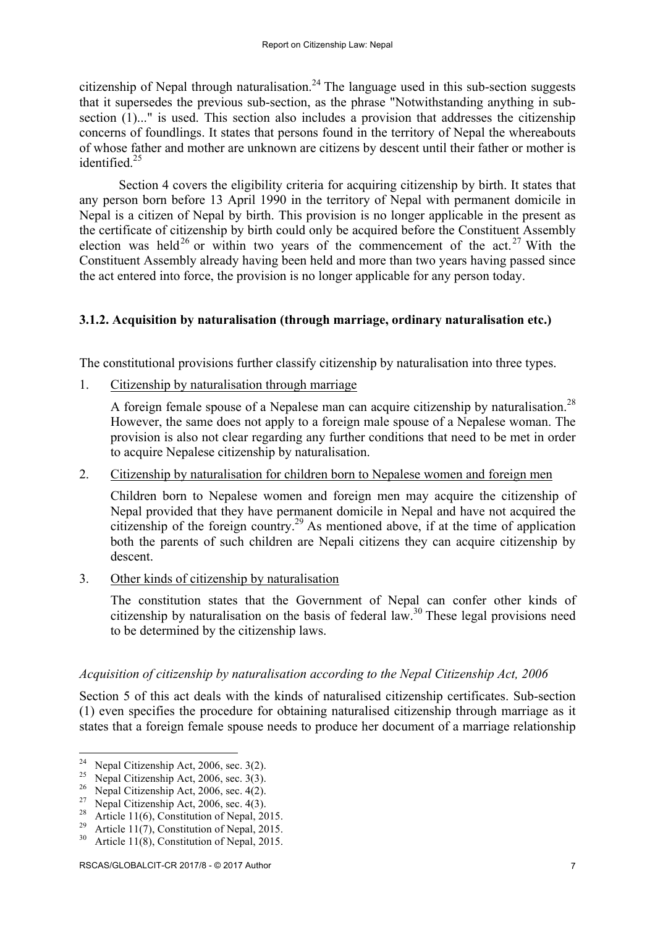citizenship of Nepal through naturalisation.<sup>24</sup> The language used in this sub-section suggests that it supersedes the previous sub-section, as the phrase "Notwithstanding anything in subsection (1)..." is used. This section also includes a provision that addresses the citizenship concerns of foundlings. It states that persons found in the territory of Nepal the whereabouts of whose father and mother are unknown are citizens by descent until their father or mother is identified.<sup>25</sup>

Section 4 covers the eligibility criteria for acquiring citizenship by birth. It states that any person born before 13 April 1990 in the territory of Nepal with permanent domicile in Nepal is a citizen of Nepal by birth. This provision is no longer applicable in the present as the certificate of citizenship by birth could only be acquired before the Constituent Assembly election was held<sup>26</sup> or within two years of the commencement of the act.<sup>27</sup> With the Constituent Assembly already having been held and more than two years having passed since the act entered into force, the provision is no longer applicable for any person today.

## **3.1.2. Acquisition by naturalisation (through marriage, ordinary naturalisation etc.)**

The constitutional provisions further classify citizenship by naturalisation into three types.

1. Citizenship by naturalisation through marriage

A foreign female spouse of a Nepalese man can acquire citizenship by naturalisation.<sup>28</sup> However, the same does not apply to a foreign male spouse of a Nepalese woman. The provision is also not clear regarding any further conditions that need to be met in order to acquire Nepalese citizenship by naturalisation.

## 2. Citizenship by naturalisation for children born to Nepalese women and foreign men

Children born to Nepalese women and foreign men may acquire the citizenship of Nepal provided that they have permanent domicile in Nepal and have not acquired the citizenship of the foreign country.<sup>29</sup> As mentioned above, if at the time of application both the parents of such children are Nepali citizens they can acquire citizenship by descent.

3. Other kinds of citizenship by naturalisation

The constitution states that the Government of Nepal can confer other kinds of citizenship by naturalisation on the basis of federal law.<sup>30</sup> These legal provisions need to be determined by the citizenship laws.

## *Acquisition of citizenship by naturalisation according to the Nepal Citizenship Act, 2006*

Section 5 of this act deals with the kinds of naturalised citizenship certificates. Sub-section (1) even specifies the procedure for obtaining naturalised citizenship through marriage as it states that a foreign female spouse needs to produce her document of a marriage relationship

<sup>&</sup>lt;sup>24</sup> Nepal Citizenship Act, 2006, sec. 3(2).<br>
<sup>25</sup> Nepal Citizenship Act, 2006, sec. 3(3).<br>
<sup>26</sup> Nepal Citizenship Act, 2006, sec. 4(2).<br>
<sup>27</sup> Nepal Citizenship Act, 2006, sec. 4(3).<br>
<sup>28</sup> Article 11(6), Constitution of N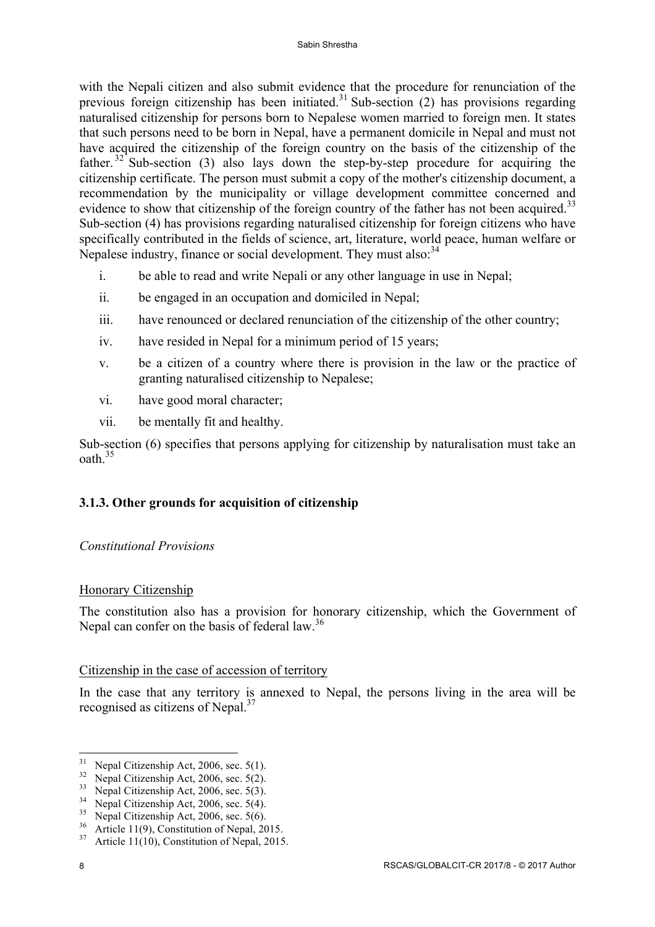with the Nepali citizen and also submit evidence that the procedure for renunciation of the previous foreign citizenship has been initiated.<sup>31</sup> Sub-section (2) has provisions regarding naturalised citizenship for persons born to Nepalese women married to foreign men. It states that such persons need to be born in Nepal, have a permanent domicile in Nepal and must not have acquired the citizenship of the foreign country on the basis of the citizenship of the father.<sup>32</sup> Sub-section (3) also lays down the step-by-step procedure for acquiring the citizenship certificate. The person must submit a copy of the mother's citizenship document, a recommendation by the municipality or village development committee concerned and evidence to show that citizenship of the foreign country of the father has not been acquired.<sup>33</sup> Sub-section (4) has provisions regarding naturalised citizenship for foreign citizens who have specifically contributed in the fields of science, art, literature, world peace, human welfare or Nepalese industry, finance or social development. They must also: <sup>34</sup>

- i. be able to read and write Nepali or any other language in use in Nepal;
- ii. be engaged in an occupation and domiciled in Nepal;
- iii. have renounced or declared renunciation of the citizenship of the other country;
- iv. have resided in Nepal for a minimum period of 15 years;
- v. be a citizen of a country where there is provision in the law or the practice of granting naturalised citizenship to Nepalese;
- vi. have good moral character;
- vii. be mentally fit and healthy.

Sub-section (6) specifies that persons applying for citizenship by naturalisation must take an oath.<sup>35</sup>

## **3.1.3. Other grounds for acquisition of citizenship**

## *Constitutional Provisions*

## Honorary Citizenship

The constitution also has a provision for honorary citizenship, which the Government of Nepal can confer on the basis of federal law.<sup>36</sup>

## Citizenship in the case of accession of territory

In the case that any territory is annexed to Nepal, the persons living in the area will be recognised as citizens of Nepal.<sup>37</sup>

<sup>&</sup>lt;sup>31</sup> Nepal Citizenship Act, 2006, sec. 5(1).<br><sup>32</sup> Nepal Citizenship Act, 2006, sec. 5(2).<br><sup>33</sup> Nepal Citizenship Act, 2006, sec. 5(3).<br><sup>34</sup> Nepal Citizenship Act, 2006, sec. 5(4).<br><sup>35</sup> Nepal Citizenship Act, 2006, sec. 5(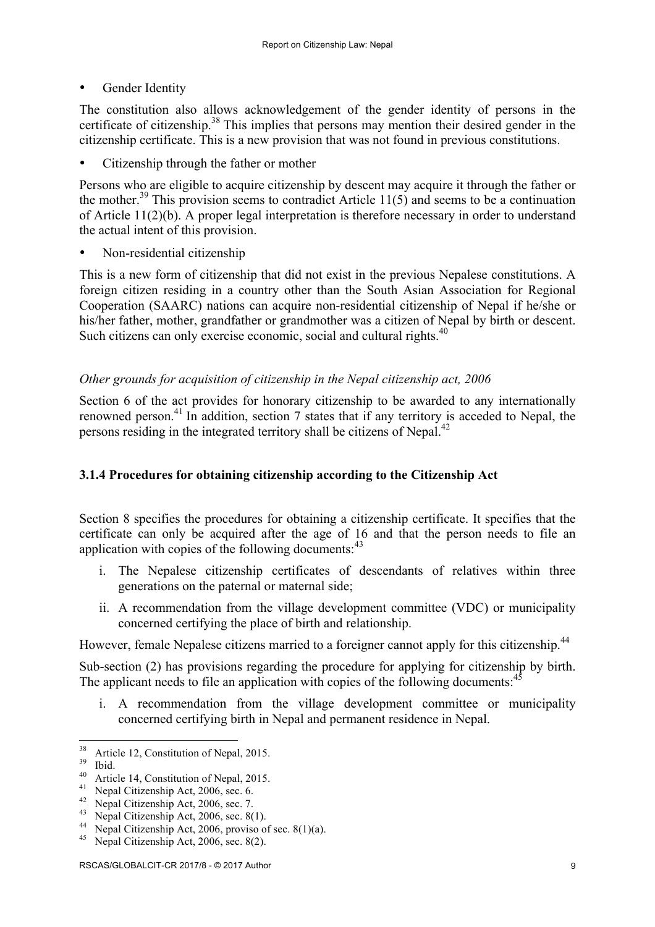• Gender Identity

The constitution also allows acknowledgement of the gender identity of persons in the certificate of citizenship.<sup>38</sup> This implies that persons may mention their desired gender in the citizenship certificate. This is a new provision that was not found in previous constitutions.

• Citizenship through the father or mother

Persons who are eligible to acquire citizenship by descent may acquire it through the father or the mother.<sup>39</sup> This provision seems to contradict Article 11(5) and seems to be a continuation of Article 11(2)(b). A proper legal interpretation is therefore necessary in order to understand the actual intent of this provision.

• Non-residential citizenship

This is a new form of citizenship that did not exist in the previous Nepalese constitutions. A foreign citizen residing in a country other than the South Asian Association for Regional Cooperation (SAARC) nations can acquire non-residential citizenship of Nepal if he/she or his/her father, mother, grandfather or grandmother was a citizen of Nepal by birth or descent. Such citizens can only exercise economic, social and cultural rights.<sup>40</sup>

## *Other grounds for acquisition of citizenship in the Nepal citizenship act, 2006*

Section 6 of the act provides for honorary citizenship to be awarded to any internationally renowned person.41 In addition, section 7 states that if any territory is acceded to Nepal, the persons residing in the integrated territory shall be citizens of Nepal.<sup>42</sup>

## **3.1.4 Procedures for obtaining citizenship according to the Citizenship Act**

Section 8 specifies the procedures for obtaining a citizenship certificate. It specifies that the certificate can only be acquired after the age of 16 and that the person needs to file an application with copies of the following documents:<sup>43</sup>

- i. The Nepalese citizenship certificates of descendants of relatives within three generations on the paternal or maternal side;
- ii. A recommendation from the village development committee (VDC) or municipality concerned certifying the place of birth and relationship.

However, female Nepalese citizens married to a foreigner cannot apply for this citizenship.<sup>44</sup>

Sub-section (2) has provisions regarding the procedure for applying for citizenship by birth. The applicant needs to file an application with copies of the following documents: $45$ 

i. A recommendation from the village development committee or municipality concerned certifying birth in Nepal and permanent residence in Nepal.

<sup>&</sup>lt;sup>38</sup> Article 12, Constitution of Nepal, 2015.<br><sup>39</sup> Ibid.<br><sup>40</sup> Article 14, Constitution of Nepal, 2015.<br><sup>41</sup> Nepal Citizenship Act, 2006, sec. 6.<br><sup>42</sup> Nepal Citizenship Act, 2006, sec. 7.<br><sup>43</sup> Nepal Citizenship Act, 2006,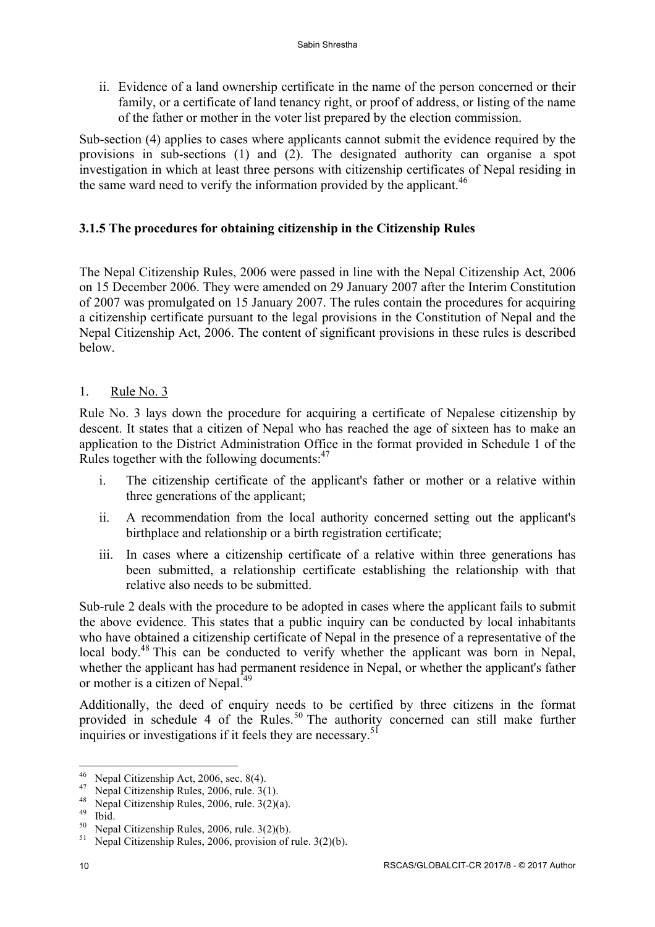ii. Evidence of a land ownership certificate in the name of the person concerned or their family, or a certificate of land tenancy right, or proof of address, or listing of the name of the father or mother in the voter list prepared by the election commission.

Sub-section (4) applies to cases where applicants cannot submit the evidence required by the provisions in sub-sections (1) and (2). The designated authority can organise a spot investigation in which at least three persons with citizenship certificates of Nepal residing in the same ward need to verify the information provided by the applicant.<sup>46</sup>

## **3.1.5 The procedures for obtaining citizenship in the Citizenship Rules**

The Nepal Citizenship Rules, 2006 were passed in line with the Nepal Citizenship Act, 2006 on 15 December 2006. They were amended on 29 January 2007 after the Interim Constitution of 2007 was promulgated on 15 January 2007. The rules contain the procedures for acquiring a citizenship certificate pursuant to the legal provisions in the Constitution of Nepal and the Nepal Citizenship Act, 2006. The content of significant provisions in these rules is described below.

1. Rule No. 3

Rule No. 3 lays down the procedure for acquiring a certificate of Nepalese citizenship by descent. It states that a citizen of Nepal who has reached the age of sixteen has to make an application to the District Administration Office in the format provided in Schedule 1 of the Rules together with the following documents: $47$ 

- i. The citizenship certificate of the applicant's father or mother or a relative within three generations of the applicant;
- ii. A recommendation from the local authority concerned setting out the applicant's birthplace and relationship or a birth registration certificate;
- iii. In cases where a citizenship certificate of a relative within three generations has been submitted, a relationship certificate establishing the relationship with that relative also needs to be submitted.

Sub-rule 2 deals with the procedure to be adopted in cases where the applicant fails to submit the above evidence. This states that a public inquiry can be conducted by local inhabitants who have obtained a citizenship certificate of Nepal in the presence of a representative of the local body.<sup>48</sup> This can be conducted to verify whether the applicant was born in Nepal, whether the applicant has had permanent residence in Nepal, or whether the applicant's father or mother is a citizen of Nepal.<sup>49</sup>

Additionally, the deed of enquiry needs to be certified by three citizens in the format provided in schedule 4 of the Rules.<sup>50</sup> The authority concerned can still make further inquiries or investigations if it feels they are necessary.<sup>51</sup>

<sup>&</sup>lt;sup>46</sup> Nepal Citizenship Act, 2006, sec. 8(4).<br><sup>47</sup> Nepal Citizenship Rules, 2006, rule. 3(1).<br><sup>48</sup> Nepal Citizenship Rules, 2006, rule. 3(2)(a).<br><sup>49</sup> Ibid.<br><sup>50</sup> Nepal Citizenship Rules, 2006, rule. 3(2)(b).<br><sup>51</sup> Nepal Citi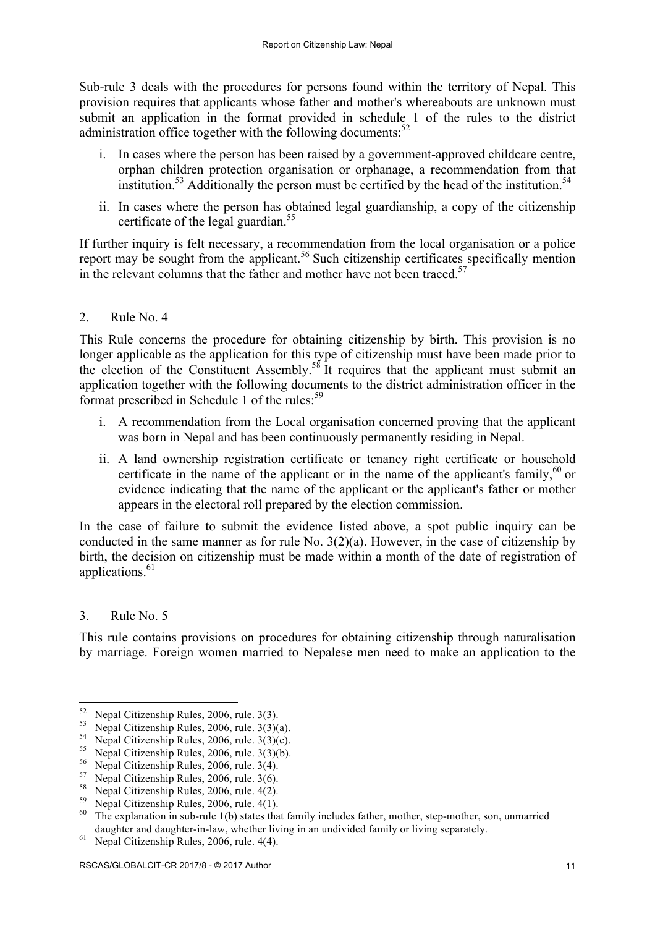Sub-rule 3 deals with the procedures for persons found within the territory of Nepal. This provision requires that applicants whose father and mother's whereabouts are unknown must submit an application in the format provided in schedule 1 of the rules to the district administration office together with the following documents: $52$ 

- i. In cases where the person has been raised by a government-approved childcare centre, orphan children protection organisation or orphanage, a recommendation from that institution.<sup>53</sup> Additionally the person must be certified by the head of the institution.<sup>54</sup>
- ii. In cases where the person has obtained legal guardianship, a copy of the citizenship certificate of the legal guardian.<sup>55</sup>

If further inquiry is felt necessary, a recommendation from the local organisation or a police report may be sought from the applicant.<sup>56</sup> Such citizenship certificates specifically mention in the relevant columns that the father and mother have not been traced.<sup>57</sup>

## 2. Rule No. 4

This Rule concerns the procedure for obtaining citizenship by birth. This provision is no longer applicable as the application for this type of citizenship must have been made prior to the election of the Constituent Assembly.<sup>58</sup> It requires that the applicant must submit an application together with the following documents to the district administration officer in the format prescribed in Schedule 1 of the rules:<sup>59</sup>

- i. A recommendation from the Local organisation concerned proving that the applicant was born in Nepal and has been continuously permanently residing in Nepal.
- ii. A land ownership registration certificate or tenancy right certificate or household certificate in the name of the applicant or in the name of the applicant's family,  $60$  or evidence indicating that the name of the applicant or the applicant's father or mother appears in the electoral roll prepared by the election commission.

In the case of failure to submit the evidence listed above, a spot public inquiry can be conducted in the same manner as for rule No. 3(2)(a). However, in the case of citizenship by birth, the decision on citizenship must be made within a month of the date of registration of applications. $61$ 

## 3. Rule No. 5

This rule contains provisions on procedures for obtaining citizenship through naturalisation by marriage. Foreign women married to Nepalese men need to make an application to the

<sup>&</sup>lt;sup>52</sup> Nepal Citizenship Rules, 2006, rule. 3(3).<br>
<sup>53</sup> Nepal Citizenship Rules, 2006, rule. 3(3)(a).<br>
<sup>54</sup> Nepal Citizenship Rules, 2006, rule. 3(3)(c).<br>
<sup>55</sup> Nepal Citizenship Rules, 2006, rule. 3(3)(b).<br>
<sup>56</sup> Nepal Citiz daughter and daughter-in-law, whether living in an undivided family or living separately.<br><sup>61</sup> Nepal Citizenship Rules, 2006, rule. 4(4).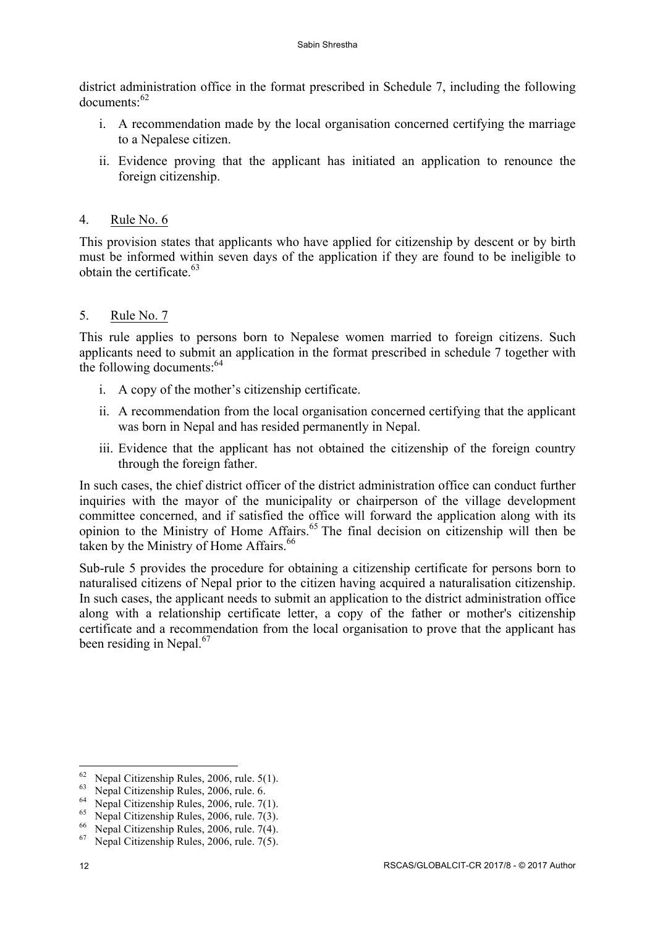district administration office in the format prescribed in Schedule 7, including the following documents:<sup>62</sup>

- i. A recommendation made by the local organisation concerned certifying the marriage to a Nepalese citizen.
- ii. Evidence proving that the applicant has initiated an application to renounce the foreign citizenship.

### 4. Rule No. 6

This provision states that applicants who have applied for citizenship by descent or by birth must be informed within seven days of the application if they are found to be ineligible to obtain the certificate.<sup>63</sup>

### 5. Rule No. 7

This rule applies to persons born to Nepalese women married to foreign citizens. Such applicants need to submit an application in the format prescribed in schedule 7 together with the following documents:  $64$ 

- i. A copy of the mother's citizenship certificate.
- ii. A recommendation from the local organisation concerned certifying that the applicant was born in Nepal and has resided permanently in Nepal.
- iii. Evidence that the applicant has not obtained the citizenship of the foreign country through the foreign father.

In such cases, the chief district officer of the district administration office can conduct further inquiries with the mayor of the municipality or chairperson of the village development committee concerned, and if satisfied the office will forward the application along with its opinion to the Ministry of Home Affairs.<sup>65</sup> The final decision on citizenship will then be taken by the Ministry of Home Affairs.<sup>66</sup>

Sub-rule 5 provides the procedure for obtaining a citizenship certificate for persons born to naturalised citizens of Nepal prior to the citizen having acquired a naturalisation citizenship. In such cases, the applicant needs to submit an application to the district administration office along with a relationship certificate letter, a copy of the father or mother's citizenship certificate and a recommendation from the local organisation to prove that the applicant has been residing in Nepal.<sup>67</sup>

<sup>&</sup>lt;sup>62</sup> Nepal Citizenship Rules, 2006, rule. 5(1).<br>
<sup>63</sup> Nepal Citizenship Rules, 2006, rule. 6.<br>
<sup>64</sup> Nepal Citizenship Rules, 2006, rule. 7(1).<br>
<sup>65</sup> Nepal Citizenship Rules, 2006, rule. 7(3).<br>
<sup>66</sup> Nepal Citizenship Rules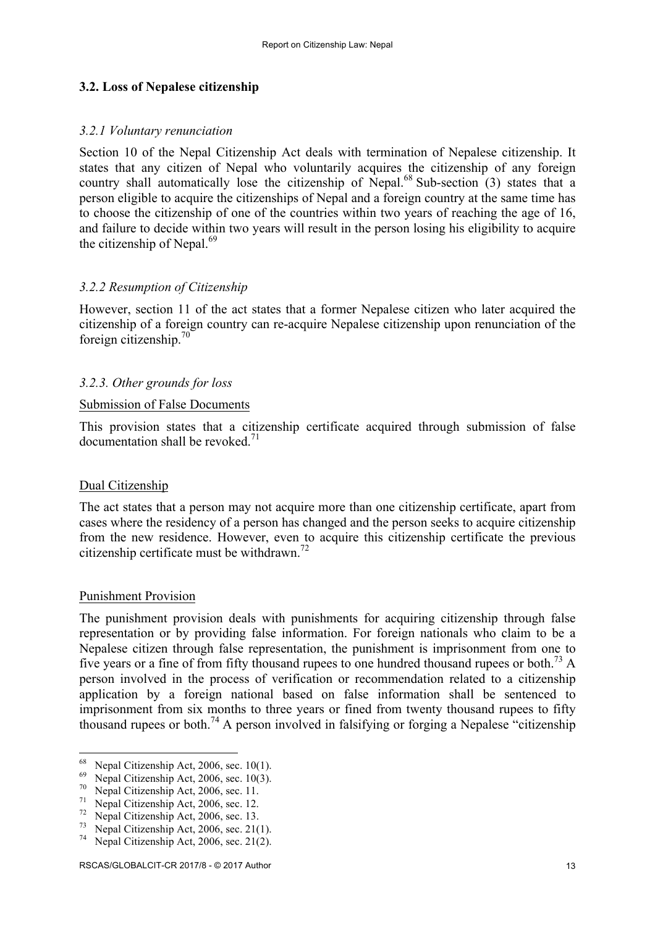### **3.2. Loss of Nepalese citizenship**

#### *3.2.1 Voluntary renunciation*

Section 10 of the Nepal Citizenship Act deals with termination of Nepalese citizenship. It states that any citizen of Nepal who voluntarily acquires the citizenship of any foreign country shall automatically lose the citizenship of Nepal.<sup>68</sup> Sub-section (3) states that a person eligible to acquire the citizenships of Nepal and a foreign country at the same time has to choose the citizenship of one of the countries within two years of reaching the age of 16, and failure to decide within two years will result in the person losing his eligibility to acquire the citizenship of Nepal. $69$ 

#### *3.2.2 Resumption of Citizenship*

However, section 11 of the act states that a former Nepalese citizen who later acquired the citizenship of a foreign country can re-acquire Nepalese citizenship upon renunciation of the foreign citizenship.<sup>70</sup>

#### *3.2.3. Other grounds for loss*

#### Submission of False Documents

This provision states that a citizenship certificate acquired through submission of false documentation shall be revoked  $71$ 

#### Dual Citizenship

The act states that a person may not acquire more than one citizenship certificate, apart from cases where the residency of a person has changed and the person seeks to acquire citizenship from the new residence. However, even to acquire this citizenship certificate the previous citizenship certificate must be withdrawn.<sup>72</sup>

#### Punishment Provision

The punishment provision deals with punishments for acquiring citizenship through false representation or by providing false information. For foreign nationals who claim to be a Nepalese citizen through false representation, the punishment is imprisonment from one to five years or a fine of from fifty thousand rupees to one hundred thousand rupees or both.<sup>73</sup> A person involved in the process of verification or recommendation related to a citizenship application by a foreign national based on false information shall be sentenced to imprisonment from six months to three years or fined from twenty thousand rupees to fifty thousand rupees or both.<sup>74</sup> A person involved in falsifying or forging a Nepalese "citizenship"

<sup>&</sup>lt;sup>68</sup> Nepal Citizenship Act, 2006, sec. 10(1).<br>
<sup>69</sup> Nepal Citizenship Act, 2006, sec. 10(3).<br>
<sup>70</sup> Nepal Citizenship Act, 2006, sec. 11.<br>
<sup>71</sup> Nepal Citizenship Act, 2006, sec. 12.<br>
<sup>72</sup> Nepal Citizenship Act, 2006, sec.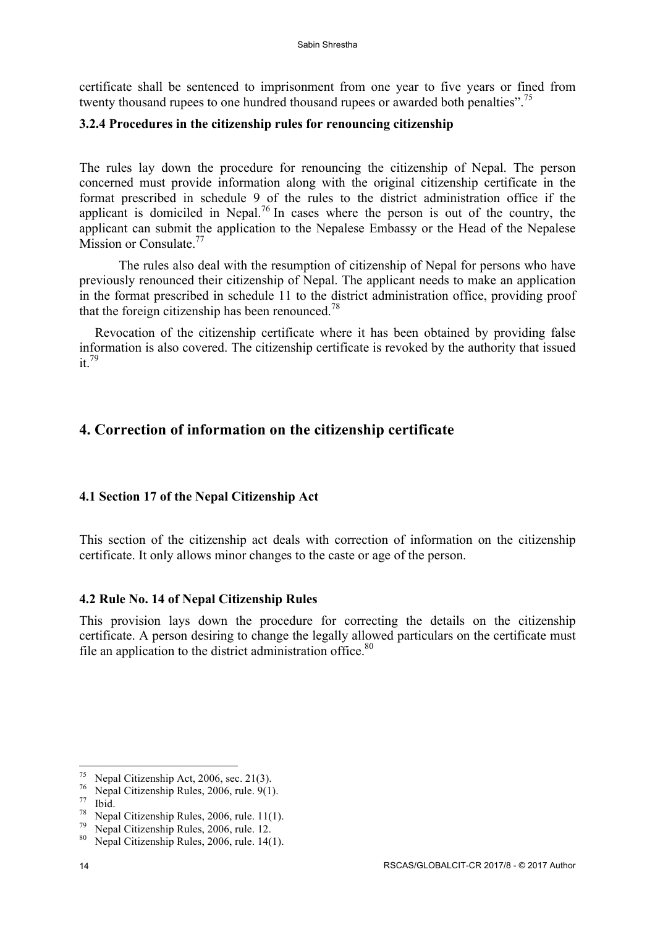certificate shall be sentenced to imprisonment from one year to five years or fined from twenty thousand rupees to one hundred thousand rupees or awarded both penalties".<sup>75</sup>

## **3.2.4 Procedures in the citizenship rules for renouncing citizenship**

The rules lay down the procedure for renouncing the citizenship of Nepal. The person concerned must provide information along with the original citizenship certificate in the format prescribed in schedule 9 of the rules to the district administration office if the applicant is domiciled in Nepal.<sup>76</sup> In cases where the person is out of the country, the applicant can submit the application to the Nepalese Embassy or the Head of the Nepalese Mission or Consulate.<sup>77</sup>

The rules also deal with the resumption of citizenship of Nepal for persons who have previously renounced their citizenship of Nepal. The applicant needs to make an application in the format prescribed in schedule 11 to the district administration office, providing proof that the foreign citizenship has been renounced.<sup>78</sup>

Revocation of the citizenship certificate where it has been obtained by providing false information is also covered. The citizenship certificate is revoked by the authority that issued it. 79

# **4. Correction of information on the citizenship certificate**

## **4.1 Section 17 of the Nepal Citizenship Act**

This section of the citizenship act deals with correction of information on the citizenship certificate. It only allows minor changes to the caste or age of the person.

## **4.2 Rule No. 14 of Nepal Citizenship Rules**

This provision lays down the procedure for correcting the details on the citizenship certificate. A person desiring to change the legally allowed particulars on the certificate must file an application to the district administration office.<sup>80</sup>

<sup>&</sup>lt;u> 1989 - Jan Samuel Barbara, margaret e</u>

<sup>&</sup>lt;sup>75</sup> Nepal Citizenship Act, 2006, sec. 21(3).<br>
<sup>76</sup> Nepal Citizenship Rules, 2006, rule. 9(1).<br>
<sup>77</sup> Nepal Citizenship Rules, 2006, rule. 11(1).<br>
<sup>79</sup> Nepal Citizenship Rules, 2006, rule. 12.<br>
<sup>80</sup> Nepal Citizenship Rules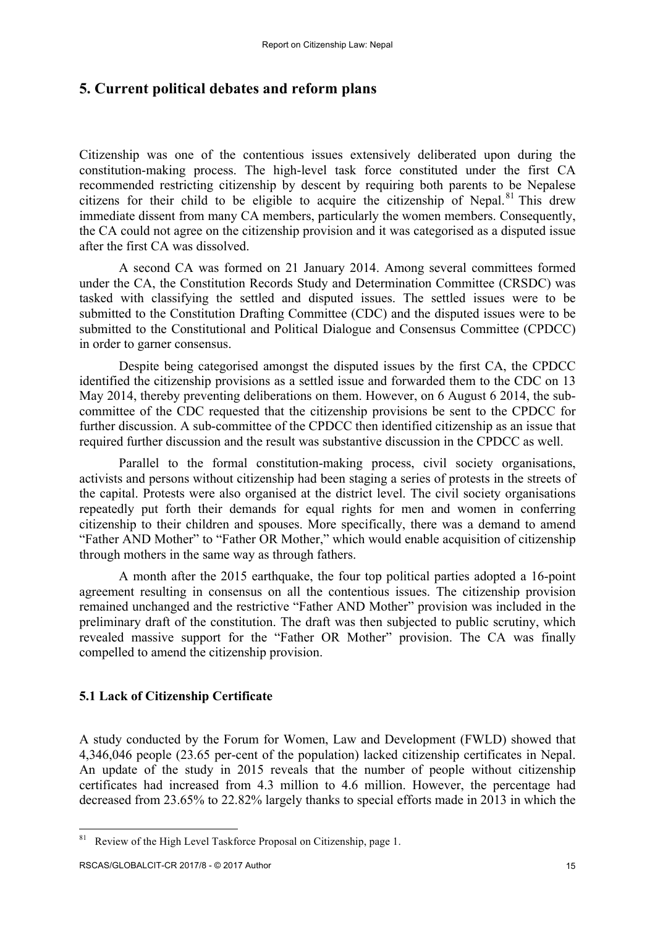## **5. Current political debates and reform plans**

Citizenship was one of the contentious issues extensively deliberated upon during the constitution-making process. The high-level task force constituted under the first CA recommended restricting citizenship by descent by requiring both parents to be Nepalese citizens for their child to be eligible to acquire the citizenship of Nepal.<sup>81</sup> This drew immediate dissent from many CA members, particularly the women members. Consequently, the CA could not agree on the citizenship provision and it was categorised as a disputed issue after the first CA was dissolved.

A second CA was formed on 21 January 2014. Among several committees formed under the CA, the Constitution Records Study and Determination Committee (CRSDC) was tasked with classifying the settled and disputed issues. The settled issues were to be submitted to the Constitution Drafting Committee (CDC) and the disputed issues were to be submitted to the Constitutional and Political Dialogue and Consensus Committee (CPDCC) in order to garner consensus.

Despite being categorised amongst the disputed issues by the first CA, the CPDCC identified the citizenship provisions as a settled issue and forwarded them to the CDC on 13 May 2014, thereby preventing deliberations on them. However, on 6 August 6 2014, the subcommittee of the CDC requested that the citizenship provisions be sent to the CPDCC for further discussion. A sub-committee of the CPDCC then identified citizenship as an issue that required further discussion and the result was substantive discussion in the CPDCC as well.

Parallel to the formal constitution-making process, civil society organisations, activists and persons without citizenship had been staging a series of protests in the streets of the capital. Protests were also organised at the district level. The civil society organisations repeatedly put forth their demands for equal rights for men and women in conferring citizenship to their children and spouses. More specifically, there was a demand to amend "Father AND Mother" to "Father OR Mother," which would enable acquisition of citizenship through mothers in the same way as through fathers.

A month after the 2015 earthquake, the four top political parties adopted a 16-point agreement resulting in consensus on all the contentious issues. The citizenship provision remained unchanged and the restrictive "Father AND Mother" provision was included in the preliminary draft of the constitution. The draft was then subjected to public scrutiny, which revealed massive support for the "Father OR Mother" provision. The CA was finally compelled to amend the citizenship provision.

## **5.1 Lack of Citizenship Certificate**

A study conducted by the Forum for Women, Law and Development (FWLD) showed that 4,346,046 people (23.65 per-cent of the population) lacked citizenship certificates in Nepal. An update of the study in 2015 reveals that the number of people without citizenship certificates had increased from 4.3 million to 4.6 million. However, the percentage had decreased from 23.65% to 22.82% largely thanks to special efforts made in 2013 in which the

<sup>&</sup>lt;sup>81</sup> Review of the High Level Taskforce Proposal on Citizenship, page 1.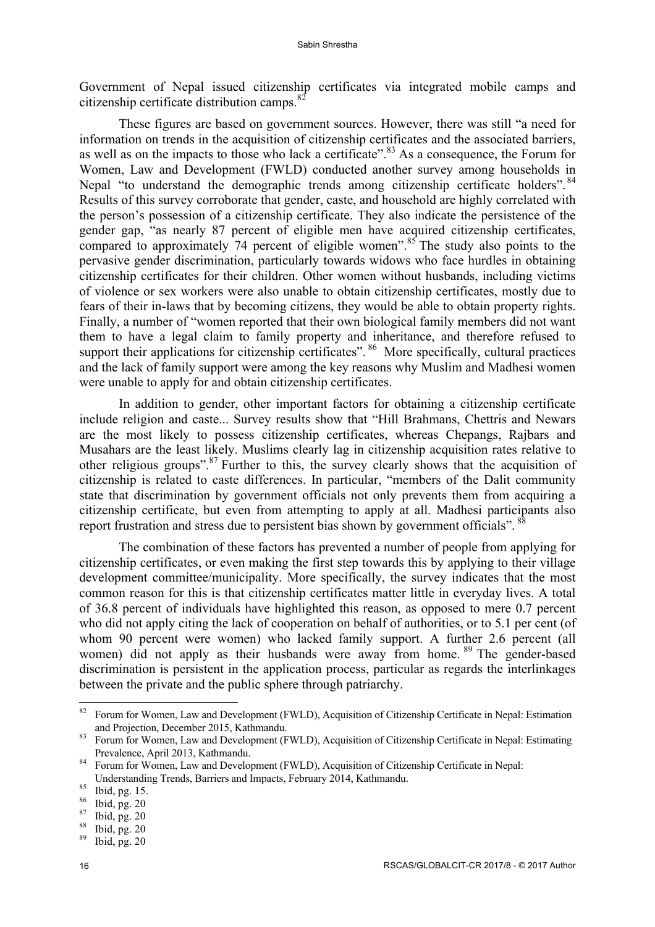Government of Nepal issued citizenship certificates via integrated mobile camps and citizenship certificate distribution camps.<sup>82</sup>

These figures are based on government sources. However, there was still "a need for information on trends in the acquisition of citizenship certificates and the associated barriers, as well as on the impacts to those who lack a certificate".<sup>83</sup> As a consequence, the Forum for Women, Law and Development (FWLD) conducted another survey among households in Nepal "to understand the demographic trends among citizenship certificate holders".<sup>84</sup> Results of this survey corroborate that gender, caste, and household are highly correlated with the person's possession of a citizenship certificate. They also indicate the persistence of the gender gap, "as nearly 87 percent of eligible men have acquired citizenship certificates, compared to approximately 74 percent of eligible women".<sup>85</sup> The study also points to the pervasive gender discrimination, particularly towards widows who face hurdles in obtaining citizenship certificates for their children. Other women without husbands, including victims of violence or sex workers were also unable to obtain citizenship certificates, mostly due to fears of their in-laws that by becoming citizens, they would be able to obtain property rights. Finally, a number of "women reported that their own biological family members did not want them to have a legal claim to family property and inheritance, and therefore refused to support their applications for citizenship certificates". <sup>86</sup> More specifically, cultural practices and the lack of family support were among the key reasons why Muslim and Madhesi women were unable to apply for and obtain citizenship certificates.

In addition to gender, other important factors for obtaining a citizenship certificate include religion and caste... Survey results show that "Hill Brahmans, Chettris and Newars are the most likely to possess citizenship certificates, whereas Chepangs, Rajbars and Musahars are the least likely. Muslims clearly lag in citizenship acquisition rates relative to other religious groups".<sup>87</sup> Further to this, the survey clearly shows that the acquisition of citizenship is related to caste differences. In particular, "members of the Dalit community state that discrimination by government officials not only prevents them from acquiring a citizenship certificate, but even from attempting to apply at all. Madhesi participants also report frustration and stress due to persistent bias shown by government officials". <sup>88</sup>

The combination of these factors has prevented a number of people from applying for citizenship certificates, or even making the first step towards this by applying to their village development committee/municipality. More specifically, the survey indicates that the most common reason for this is that citizenship certificates matter little in everyday lives. A total of 36.8 percent of individuals have highlighted this reason, as opposed to mere 0.7 percent who did not apply citing the lack of cooperation on behalf of authorities, or to 5.1 per cent (of whom 90 percent were women) who lacked family support. A further 2.6 percent (all women) did not apply as their husbands were away from home. <sup>89</sup> The gender-based discrimination is persistent in the application process, particular as regards the interlinkages between the private and the public sphere through patriarchy.

<sup>&</sup>lt;sup>82</sup> Forum for Women, Law and Development (FWLD), Acquisition of Citizenship Certificate in Nepal: Estimation and Projection, December 2015, Kathmandu.

<sup>&</sup>lt;sup>83</sup> Forum for Women, Law and Development (FWLD), Acquisition of Citizenship Certificate in Nepal: Estimating Prevalence, April 2013, Kathmandu.<br><sup>84</sup> Forum for Women, Law and Development (FWLD), Acquisition of Citizenship Certificate in Nepal:

Understanding Trends, Barriers and Impacts, February 2014, Kathmandu.<br><sup>85</sup> Ibid, pg. 15.<br><sup>86</sup> Ibid, pg. 20<br><sup>87</sup> Ibid, pg. 20<br><sup>88</sup> Ibid, pg. 20<br>Ibid, pg. 20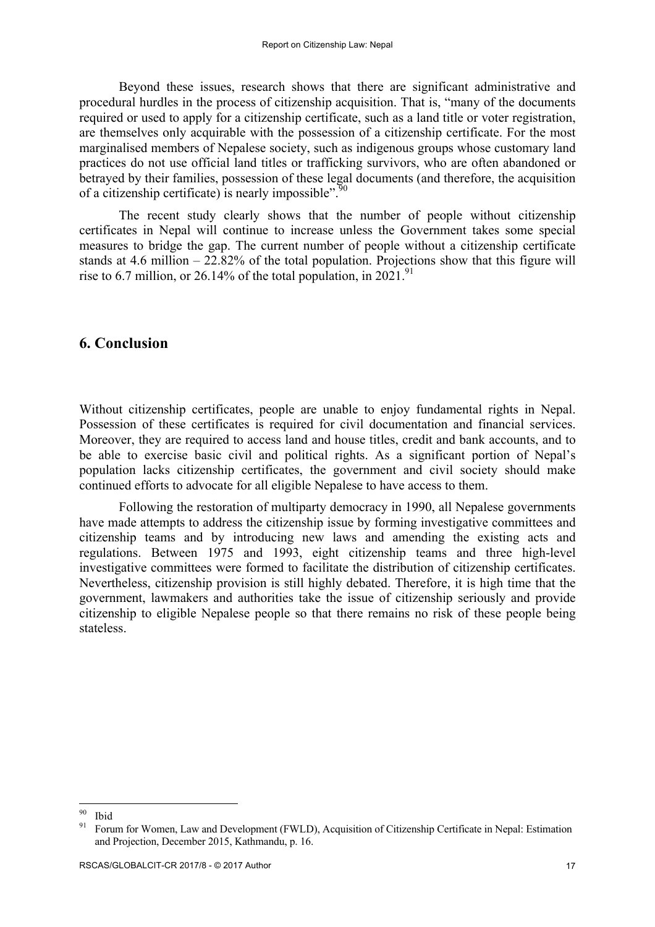Beyond these issues, research shows that there are significant administrative and procedural hurdles in the process of citizenship acquisition. That is, "many of the documents required or used to apply for a citizenship certificate, such as a land title or voter registration, are themselves only acquirable with the possession of a citizenship certificate. For the most marginalised members of Nepalese society, such as indigenous groups whose customary land practices do not use official land titles or trafficking survivors, who are often abandoned or betrayed by their families, possession of these legal documents (and therefore, the acquisition of a citizenship certificate) is nearly impossible".<sup>90</sup>

The recent study clearly shows that the number of people without citizenship certificates in Nepal will continue to increase unless the Government takes some special measures to bridge the gap. The current number of people without a citizenship certificate stands at 4.6 million  $-22.82\%$  of the total population. Projections show that this figure will rise to 6.7 million, or 26.14% of the total population, in  $2021$ .<sup>91</sup>

## **6. Conclusion**

Without citizenship certificates, people are unable to enjoy fundamental rights in Nepal. Possession of these certificates is required for civil documentation and financial services. Moreover, they are required to access land and house titles, credit and bank accounts, and to be able to exercise basic civil and political rights. As a significant portion of Nepal's population lacks citizenship certificates, the government and civil society should make continued efforts to advocate for all eligible Nepalese to have access to them.

Following the restoration of multiparty democracy in 1990, all Nepalese governments have made attempts to address the citizenship issue by forming investigative committees and citizenship teams and by introducing new laws and amending the existing acts and regulations. Between 1975 and 1993, eight citizenship teams and three high-level investigative committees were formed to facilitate the distribution of citizenship certificates. Nevertheless, citizenship provision is still highly debated. Therefore, it is high time that the government, lawmakers and authorities take the issue of citizenship seriously and provide citizenship to eligible Nepalese people so that there remains no risk of these people being stateless.

<sup>&</sup>lt;sup>90</sup> Ibid<br><sup>91</sup> Forum for Women, Law and Development (FWLD), Acquisition of Citizenship Certificate in Nepal: Estimation and Projection, December 2015, Kathmandu, p. 16.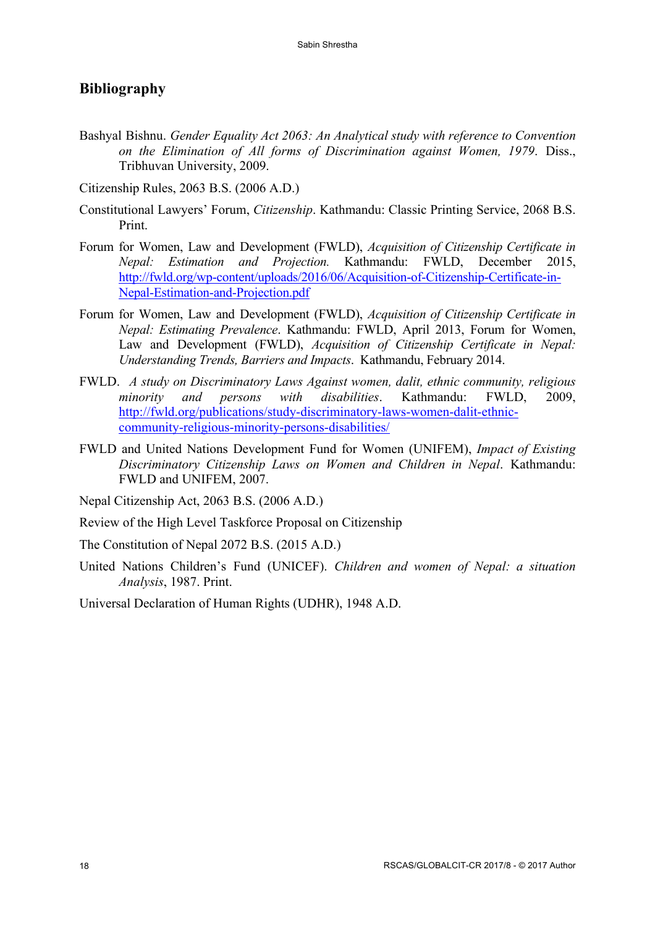## **Bibliography**

Bashyal Bishnu. *Gender Equality Act 2063: An Analytical study with reference to Convention on the Elimination of All forms of Discrimination against Women, 1979*. Diss., Tribhuvan University, 2009.

Citizenship Rules, 2063 B.S. (2006 A.D.)

- Constitutional Lawyers' Forum, *Citizenship*. Kathmandu: Classic Printing Service, 2068 B.S. Print.
- Forum for Women, Law and Development (FWLD), *Acquisition of Citizenship Certificate in Nepal: Estimation and Projection.* Kathmandu: FWLD, December 2015, http://fwld.org/wp-content/uploads/2016/06/Acquisition-of-Citizenship-Certificate-in-Nepal-Estimation-and-Projection.pdf
- Forum for Women, Law and Development (FWLD), *Acquisition of Citizenship Certificate in Nepal: Estimating Prevalence*. Kathmandu: FWLD, April 2013, Forum for Women, Law and Development (FWLD), *Acquisition of Citizenship Certificate in Nepal: Understanding Trends, Barriers and Impacts*. Kathmandu, February 2014.
- FWLD. *A study on Discriminatory Laws Against women, dalit, ethnic community, religious minority and persons with disabilities*. Kathmandu: FWLD, 2009, http://fwld.org/publications/study-discriminatory-laws-women-dalit-ethniccommunity-religious-minority-persons-disabilities/
- FWLD and United Nations Development Fund for Women (UNIFEM), *Impact of Existing Discriminatory Citizenship Laws on Women and Children in Nepal*. Kathmandu: FWLD and UNIFEM, 2007.

Nepal Citizenship Act, 2063 B.S. (2006 A.D.)

Review of the High Level Taskforce Proposal on Citizenship

The Constitution of Nepal 2072 B.S. (2015 A.D.)

United Nations Children's Fund (UNICEF). *Children and women of Nepal: a situation Analysis*, 1987. Print.

Universal Declaration of Human Rights (UDHR), 1948 A.D.